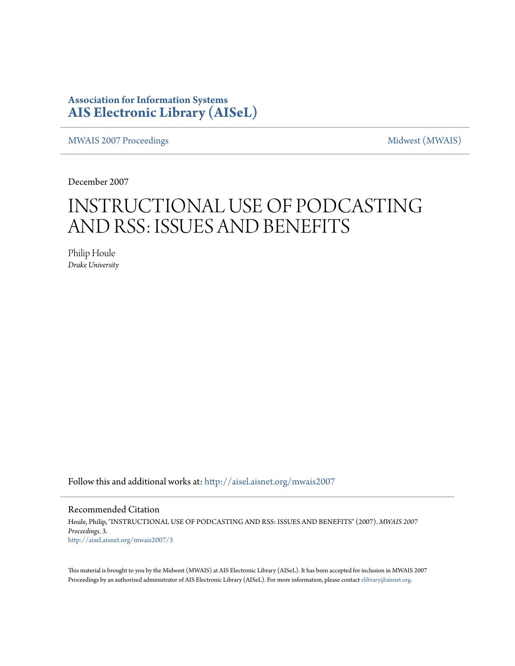### **Association for Information Systems [AIS Electronic Library \(AISeL\)](http://aisel.aisnet.org?utm_source=aisel.aisnet.org%2Fmwais2007%2F3&utm_medium=PDF&utm_campaign=PDFCoverPages)**

[MWAIS 2007 Proceedings](http://aisel.aisnet.org/mwais2007?utm_source=aisel.aisnet.org%2Fmwais2007%2F3&utm_medium=PDF&utm_campaign=PDFCoverPages) and the matrix of the [Midwest \(MWAIS\)](http://aisel.aisnet.org/mwais?utm_source=aisel.aisnet.org%2Fmwais2007%2F3&utm_medium=PDF&utm_campaign=PDFCoverPages)

December 2007

# INSTRUCTIONAL USE OF PODCASTING AND RSS: ISSUES AND BENEFITS

Philip Houle *Drake University*

Follow this and additional works at: [http://aisel.aisnet.org/mwais2007](http://aisel.aisnet.org/mwais2007?utm_source=aisel.aisnet.org%2Fmwais2007%2F3&utm_medium=PDF&utm_campaign=PDFCoverPages)

Recommended Citation Houle, Philip, "INSTRUCTIONAL USE OF PODCASTING AND RSS: ISSUES AND BENEFITS" (2007). *MWAIS 2007 Proceedings*. 3. [http://aisel.aisnet.org/mwais2007/3](http://aisel.aisnet.org/mwais2007/3?utm_source=aisel.aisnet.org%2Fmwais2007%2F3&utm_medium=PDF&utm_campaign=PDFCoverPages)

This material is brought to you by the Midwest (MWAIS) at AIS Electronic Library (AISeL). It has been accepted for inclusion in MWAIS 2007 Proceedings by an authorized administrator of AIS Electronic Library (AISeL). For more information, please contact [elibrary@aisnet.org](mailto:elibrary@aisnet.org%3E).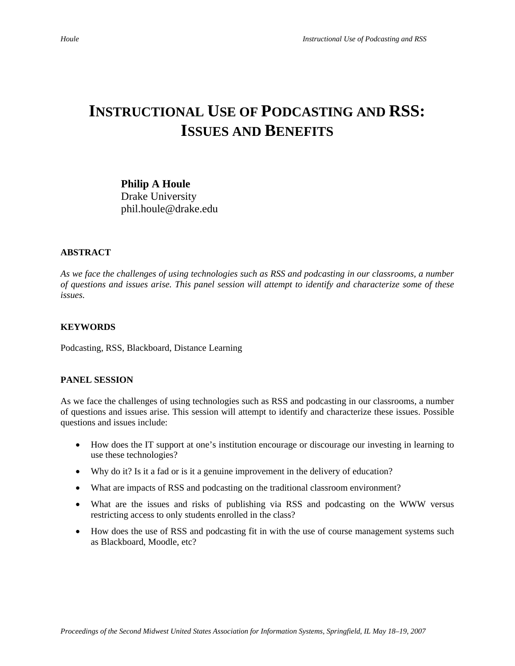## **INSTRUCTIONAL USE OF PODCASTING AND RSS: ISSUES AND BENEFITS**

**Philip A Houle**  Drake University phil.houle@drake.edu

#### **ABSTRACT**

*As we face the challenges of using technologies such as RSS and podcasting in our classrooms, a number of questions and issues arise. This panel session will attempt to identify and characterize some of these issues.* 

#### **KEYWORDS**

Podcasting, RSS, Blackboard, Distance Learning

#### **PANEL SESSION**

As we face the challenges of using technologies such as RSS and podcasting in our classrooms, a number of questions and issues arise. This session will attempt to identify and characterize these issues. Possible questions and issues include:

- How does the IT support at one's institution encourage or discourage our investing in learning to use these technologies?
- Why do it? Is it a fad or is it a genuine improvement in the delivery of education?
- What are impacts of RSS and podcasting on the traditional classroom environment?
- What are the issues and risks of publishing via RSS and podcasting on the WWW versus restricting access to only students enrolled in the class?
- How does the use of RSS and podcasting fit in with the use of course management systems such as Blackboard, Moodle, etc?